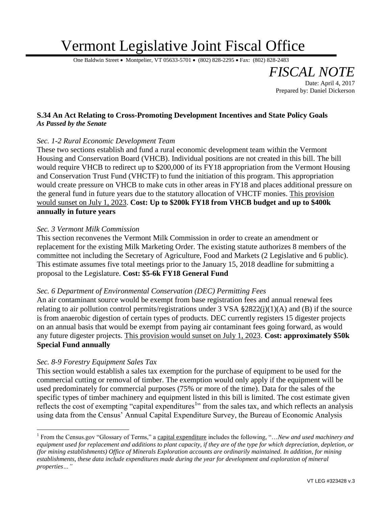# Vermont Legislative Joint Fiscal Office

One Baldwin Street • Montpelier, VT 05633-5701 • (802) 828-2295 • Fax: (802) 828-2483

## **S.34 An Act Relating to Cross-Promoting Development Incentives and State Policy Goals** *As Passed by the Senate*

### *Sec. 1-2 Rural Economic Development Team*

These two sections establish and fund a rural economic development team within the Vermont Housing and Conservation Board (VHCB). Individual positions are not created in this bill. The bill would require VHCB to redirect up to \$200,000 of its FY18 appropriation from the Vermont Housing and Conservation Trust Fund (VHCTF) to fund the initiation of this program. This appropriation would create pressure on VHCB to make cuts in other areas in FY18 and places additional pressure on the general fund in future years due to the statutory allocation of VHCTF monies. This provision would sunset on July 1, 2023. **Cost: Up to \$200k FY18 from VHCB budget and up to \$400k annually in future years**

#### *Sec. 3 Vermont Milk Commission*

This section reconvenes the Vermont Milk Commission in order to create an amendment or replacement for the existing Milk Marketing Order. The existing statute authorizes 8 members of the committee not including the Secretary of Agriculture, Food and Markets (2 Legislative and 6 public). This estimate assumes five total meetings prior to the January 15, 2018 deadline for submitting a proposal to the Legislature. **Cost: \$5-6k FY18 General Fund**

#### *Sec. 6 Department of Environmental Conservation (DEC) Permitting Fees*

An air contaminant source would be exempt from base registration fees and annual renewal fees relating to air pollution control permits/registrations under  $3 \text{ VSA } $2822(j)(1)(\text{A})$  and (B) if the source is from anaerobic digestion of certain types of products. DEC currently registers 15 digester projects on an annual basis that would be exempt from paying air contaminant fees going forward, as would any future digester projects. This provision would sunset on July 1, 2023. **Cost: approximately \$50k Special Fund annually**

#### *Sec. 8-9 Forestry Equipment Sales Tax*

 $\overline{a}$ 

This section would establish a sales tax exemption for the purchase of equipment to be used for the commercial cutting or removal of timber. The exemption would only apply if the equipment will be used predominately for commercial purposes (75% or more of the time). Data for the sales of the specific types of timber machinery and equipment listed in this bill is limited. The cost estimate given reflects the cost of exempting "capital expenditures<sup>1</sup>" from the sales tax, and which reflects an analysis using data from the Census' Annual Capital Expenditure Survey, the Bureau of Economic Analysis

*FISCAL NOTE*

Prepared by: Daniel Dickerson

Date: April 4, 2017

<sup>&</sup>lt;sup>1</sup> From the Census.gov "Glossary of Terms," a capital expenditure includes the following, "...New and used machinery and *equipment used for replacement and additions to plant capacity, if they are of the type for which depreciation, depletion, or (for mining establishments) Office of Minerals Exploration accounts are ordinarily maintained. In addition, for mining establishments, these data include expenditures made during the year for development and exploration of mineral properties…"*